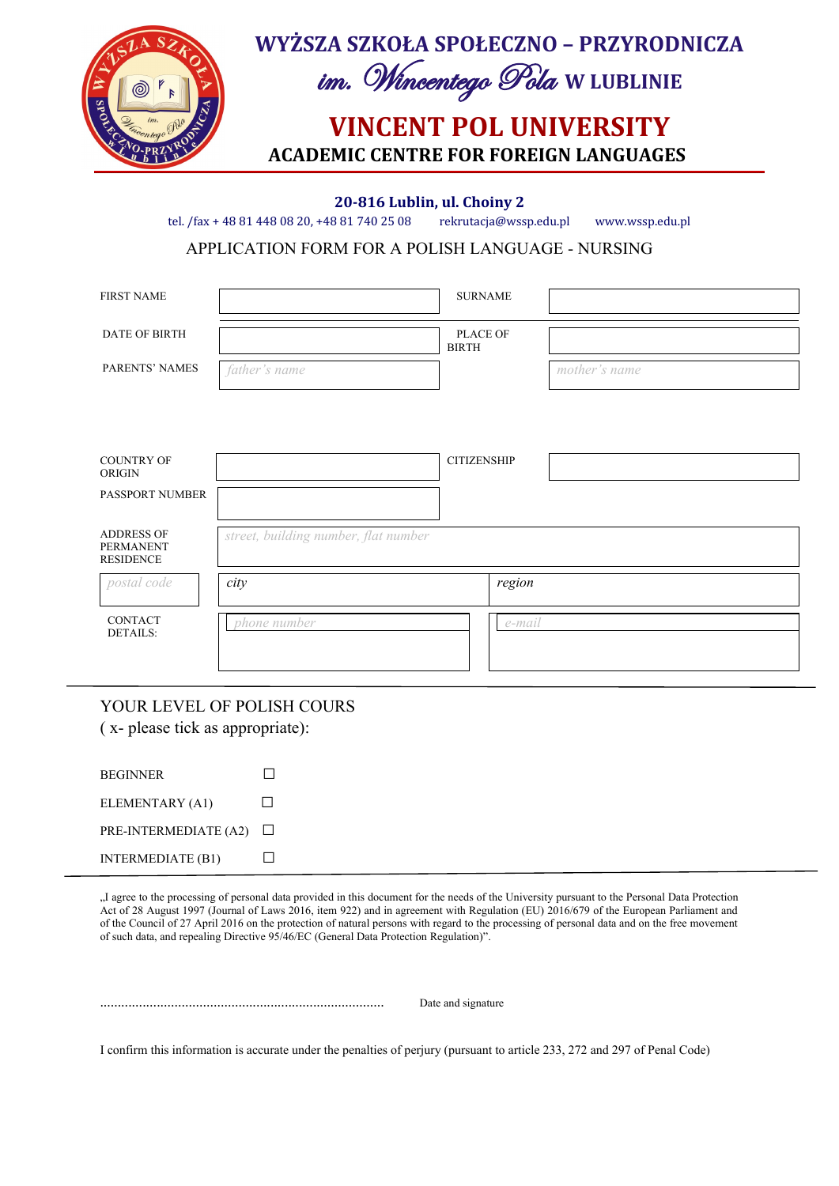

**20-816 Lublin, ul. Choiny 2**

tel. /fax + 48 81 448 08 20, +48 81 740 25 08 rekrutacja@wssp.edu.pl www.wssp.edu.pl

APPLICATION FORM FOR A POLISH LANGUAGE - NURSING

|                                      | <b>SURNAME</b>           |               |
|--------------------------------------|--------------------------|---------------|
|                                      | PLACE OF<br><b>BIRTH</b> |               |
| father's name                        |                          | mother's name |
|                                      |                          |               |
|                                      | <b>CITIZENSHIP</b>       |               |
|                                      |                          |               |
| street, building number, flat number |                          |               |
| city                                 | region                   |               |
| phone number                         | e-mail                   |               |
|                                      |                          |               |

YOUR LEVEL OF POLISH COURS ( x- please tick as appropriate):

| <b>BEGINNER</b>          |              |
|--------------------------|--------------|
| ELEMENTARY (A1)          | $\mathbf{L}$ |
| PRE-INTERMEDIATE (A2)    | $\perp$      |
| <b>INTERMEDIATE (B1)</b> |              |

"I agree to the processing of personal data provided in this document for the needs of the University pursuant to the Personal Data Protection Act of 28 August 1997 (Journal of Laws 2016, item 922) and in agreement with Regulation (EU) 2016/679 of the European Parliament and of the Council of 27 April 2016 on the protection of natural persons with regard to the processing of personal data and on the free movement of such data, and repealing Directive 95/46/EC (General Data Protection Regulation)".

................................................................................ Date and signature

I confirm this information is accurate under the penalties of perjury (pursuant to article 233, 272 and 297 of Penal Code)